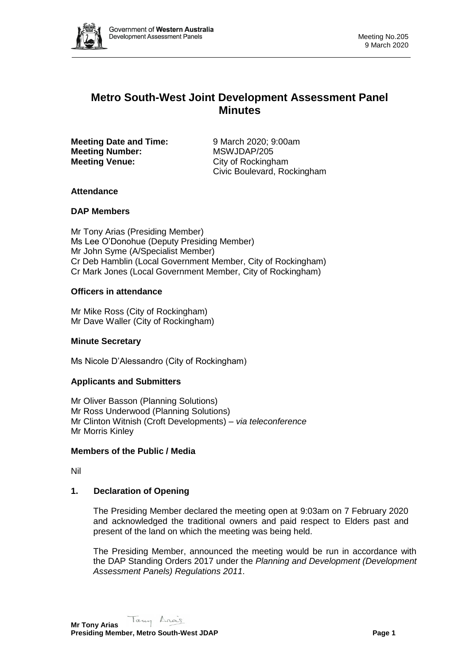

# **Metro South-West Joint Development Assessment Panel Minutes**

**Meeting Date and Time:** 9 March 2020; 9:00am **Meeting Number:** MSWJDAP/205 **Meeting Venue:** City of Rockingham

Civic Boulevard, Rockingham

## **Attendance**

## **DAP Members**

Mr Tony Arias (Presiding Member) Ms Lee O'Donohue (Deputy Presiding Member) Mr John Syme (A/Specialist Member) Cr Deb Hamblin (Local Government Member, City of Rockingham) Cr Mark Jones (Local Government Member, City of Rockingham)

## **Officers in attendance**

Mr Mike Ross (City of Rockingham) Mr Dave Waller (City of Rockingham)

## **Minute Secretary**

Ms Nicole D'Alessandro (City of Rockingham)

## **Applicants and Submitters**

Mr Oliver Basson (Planning Solutions) Mr Ross Underwood (Planning Solutions) Mr Clinton Witnish (Croft Developments) – *via teleconference* Mr Morris Kinley

## **Members of the Public / Media**

Nil

## **1. Declaration of Opening**

The Presiding Member declared the meeting open at 9:03am on 7 February 2020 and acknowledged the traditional owners and paid respect to Elders past and present of the land on which the meeting was being held.

The Presiding Member, announced the meeting would be run in accordance with the DAP Standing Orders 2017 under the *Planning and Development (Development Assessment Panels) Regulations 2011*.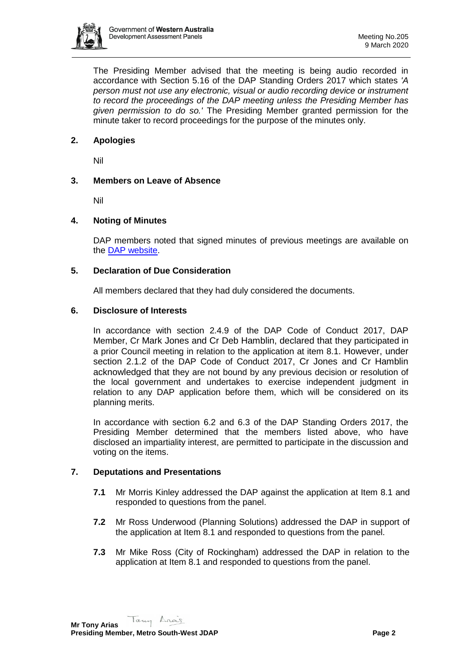

The Presiding Member advised that the meeting is being audio recorded in accordance with Section 5.16 of the DAP Standing Orders 2017 which states *'A person must not use any electronic, visual or audio recording device or instrument to record the proceedings of the DAP meeting unless the Presiding Member has given permission to do so.'* The Presiding Member granted permission for the minute taker to record proceedings for the purpose of the minutes only.

## **2. Apologies**

Nil

### **3. Members on Leave of Absence**

Nil

## **4. Noting of Minutes**

DAP members noted that signed minutes of previous meetings are available on the [DAP website.](https://www.dplh.wa.gov.au/about/development-assessment-panels/daps-agendas-and-minutes)

### **5. Declaration of Due Consideration**

All members declared that they had duly considered the documents.

#### **6. Disclosure of Interests**

In accordance with section 2.4.9 of the DAP Code of Conduct 2017, DAP Member, Cr Mark Jones and Cr Deb Hamblin, declared that they participated in a prior Council meeting in relation to the application at item 8.1. However, under section 2.1.2 of the DAP Code of Conduct 2017, Cr Jones and Cr Hamblin acknowledged that they are not bound by any previous decision or resolution of the local government and undertakes to exercise independent judgment in relation to any DAP application before them, which will be considered on its planning merits.

In accordance with section 6.2 and 6.3 of the DAP Standing Orders 2017, the Presiding Member determined that the members listed above, who have disclosed an impartiality interest, are permitted to participate in the discussion and voting on the items.

### **7. Deputations and Presentations**

- **7.1** Mr Morris Kinley addressed the DAP against the application at Item 8.1 and responded to questions from the panel.
- **7.2** Mr Ross Underwood (Planning Solutions) addressed the DAP in support of the application at Item 8.1 and responded to questions from the panel.
- **7.3** Mr Mike Ross (City of Rockingham) addressed the DAP in relation to the application at Item 8.1 and responded to questions from the panel.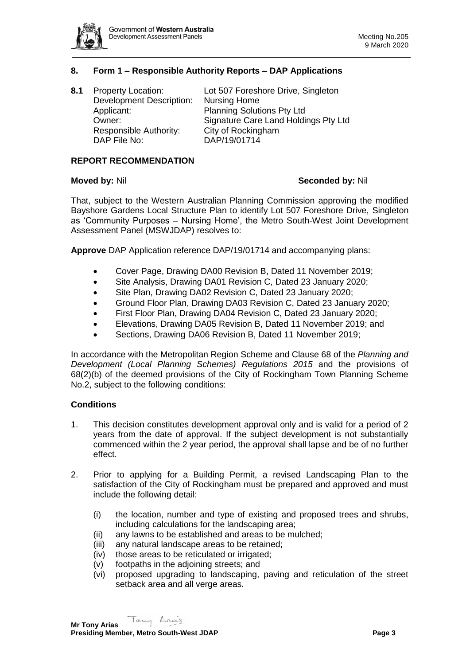

## **8. Form 1 – Responsible Authority Reports – DAP Applications**

| 8.1 | <b>Property Location:</b>       | Lot 507 Foreshore Drive, Singleton   |
|-----|---------------------------------|--------------------------------------|
|     | <b>Development Description:</b> | <b>Nursing Home</b>                  |
|     | Applicant:                      | <b>Planning Solutions Pty Ltd</b>    |
|     | Owner:                          | Signature Care Land Holdings Pty Ltd |
|     | Responsible Authority:          | City of Rockingham                   |
|     | DAP File No:                    | DAP/19/01714                         |
|     |                                 |                                      |

#### **REPORT RECOMMENDATION**

#### **Moved by:** Nil **Seconded by:** Nil

That, subject to the Western Australian Planning Commission approving the modified Bayshore Gardens Local Structure Plan to identify Lot 507 Foreshore Drive, Singleton as 'Community Purposes – Nursing Home', the Metro South-West Joint Development Assessment Panel (MSWJDAP) resolves to:

**Approve** DAP Application reference DAP/19/01714 and accompanying plans:

- Cover Page, Drawing DA00 Revision B, Dated 11 November 2019;
- Site Analysis, Drawing DA01 Revision C, Dated 23 January 2020;
- Site Plan, Drawing DA02 Revision C, Dated 23 January 2020;
- Ground Floor Plan, Drawing DA03 Revision C, Dated 23 January 2020;
- First Floor Plan, Drawing DA04 Revision C, Dated 23 January 2020;
- Elevations, Drawing DA05 Revision B, Dated 11 November 2019; and
- Sections, Drawing DA06 Revision B, Dated 11 November 2019;

In accordance with the Metropolitan Region Scheme and Clause 68 of the *Planning and Development (Local Planning Schemes) Regulations 2015* and the provisions of 68(2)(b) of the deemed provisions of the City of Rockingham Town Planning Scheme No.2, subject to the following conditions:

#### **Conditions**

- 1. This decision constitutes development approval only and is valid for a period of 2 years from the date of approval. If the subject development is not substantially commenced within the 2 year period, the approval shall lapse and be of no further effect.
- 2. Prior to applying for a Building Permit, a revised Landscaping Plan to the satisfaction of the City of Rockingham must be prepared and approved and must include the following detail:
	- (i) the location, number and type of existing and proposed trees and shrubs, including calculations for the landscaping area;
	- (ii) any lawns to be established and areas to be mulched;
	- (iii) any natural landscape areas to be retained;
	- (iv) those areas to be reticulated or irrigated;
	- (v) footpaths in the adjoining streets; and
	- (vi) proposed upgrading to landscaping, paving and reticulation of the street setback area and all verge areas.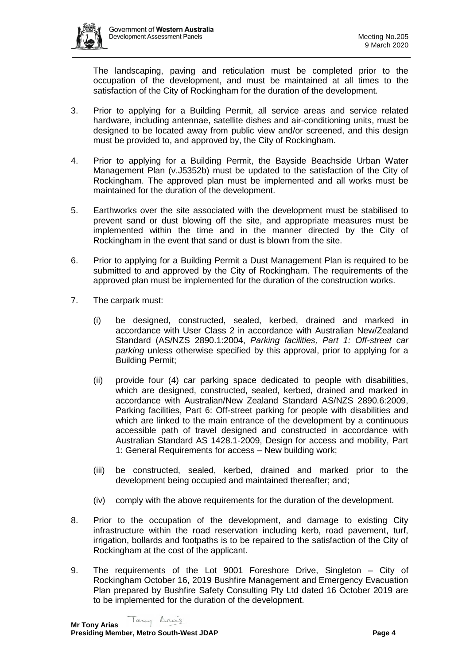

The landscaping, paving and reticulation must be completed prior to the occupation of the development, and must be maintained at all times to the satisfaction of the City of Rockingham for the duration of the development.

- 3. Prior to applying for a Building Permit, all service areas and service related hardware, including antennae, satellite dishes and air-conditioning units, must be designed to be located away from public view and/or screened, and this design must be provided to, and approved by, the City of Rockingham.
- 4. Prior to applying for a Building Permit, the Bayside Beachside Urban Water Management Plan (v.J5352b) must be updated to the satisfaction of the City of Rockingham. The approved plan must be implemented and all works must be maintained for the duration of the development.
- 5. Earthworks over the site associated with the development must be stabilised to prevent sand or dust blowing off the site, and appropriate measures must be implemented within the time and in the manner directed by the City of Rockingham in the event that sand or dust is blown from the site.
- 6. Prior to applying for a Building Permit a Dust Management Plan is required to be submitted to and approved by the City of Rockingham. The requirements of the approved plan must be implemented for the duration of the construction works.
- 7. The carpark must:
	- (i) be designed, constructed, sealed, kerbed, drained and marked in accordance with User Class 2 in accordance with Australian New/Zealand Standard (AS/NZS 2890.1:2004, *Parking facilities, Part 1: Off-street car parking* unless otherwise specified by this approval, prior to applying for a Building Permit;
	- (ii) provide four (4) car parking space dedicated to people with disabilities, which are designed, constructed, sealed, kerbed, drained and marked in accordance with Australian/New Zealand Standard AS/NZS 2890.6:2009, Parking facilities, Part 6: Off-street parking for people with disabilities and which are linked to the main entrance of the development by a continuous accessible path of travel designed and constructed in accordance with Australian Standard AS 1428.1-2009, Design for access and mobility, Part 1: General Requirements for access – New building work;
	- (iii) be constructed, sealed, kerbed, drained and marked prior to the development being occupied and maintained thereafter; and;
	- (iv) comply with the above requirements for the duration of the development.
- 8. Prior to the occupation of the development, and damage to existing City infrastructure within the road reservation including kerb, road pavement, turf, irrigation, bollards and footpaths is to be repaired to the satisfaction of the City of Rockingham at the cost of the applicant.
- 9. The requirements of the Lot 9001 Foreshore Drive, Singleton City of Rockingham October 16, 2019 Bushfire Management and Emergency Evacuation Plan prepared by Bushfire Safety Consulting Pty Ltd dated 16 October 2019 are to be implemented for the duration of the development.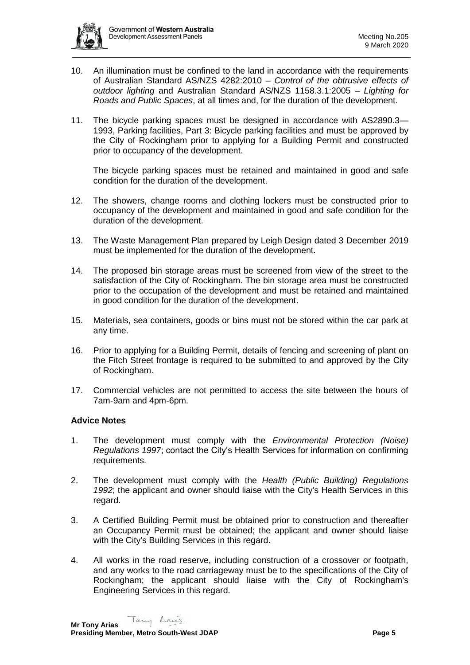

- 10. An illumination must be confined to the land in accordance with the requirements of Australian Standard AS/NZS 4282:2010 – *Control of the obtrusive effects of outdoor lighting* and Australian Standard AS/NZS 1158.3.1:2005 – *Lighting for Roads and Public Spaces*, at all times and, for the duration of the development.
- 11. The bicycle parking spaces must be designed in accordance with AS2890.3— 1993, Parking facilities, Part 3: Bicycle parking facilities and must be approved by the City of Rockingham prior to applying for a Building Permit and constructed prior to occupancy of the development.

The bicycle parking spaces must be retained and maintained in good and safe condition for the duration of the development.

- 12. The showers, change rooms and clothing lockers must be constructed prior to occupancy of the development and maintained in good and safe condition for the duration of the development.
- 13. The Waste Management Plan prepared by Leigh Design dated 3 December 2019 must be implemented for the duration of the development.
- 14. The proposed bin storage areas must be screened from view of the street to the satisfaction of the City of Rockingham. The bin storage area must be constructed prior to the occupation of the development and must be retained and maintained in good condition for the duration of the development.
- 15. Materials, sea containers, goods or bins must not be stored within the car park at any time.
- 16. Prior to applying for a Building Permit, details of fencing and screening of plant on the Fitch Street frontage is required to be submitted to and approved by the City of Rockingham.
- 17. Commercial vehicles are not permitted to access the site between the hours of 7am-9am and 4pm-6pm.

## **Advice Notes**

- 1. The development must comply with the *Environmental Protection (Noise) Regulations 1997*; contact the City's Health Services for information on confirming requirements.
- 2. The development must comply with the *Health (Public Building) Regulations 1992*; the applicant and owner should liaise with the City's Health Services in this regard.
- 3. A Certified Building Permit must be obtained prior to construction and thereafter an Occupancy Permit must be obtained; the applicant and owner should liaise with the City's Building Services in this regard.
- 4. All works in the road reserve, including construction of a crossover or footpath, and any works to the road carriageway must be to the specifications of the City of Rockingham; the applicant should liaise with the City of Rockingham's Engineering Services in this regard.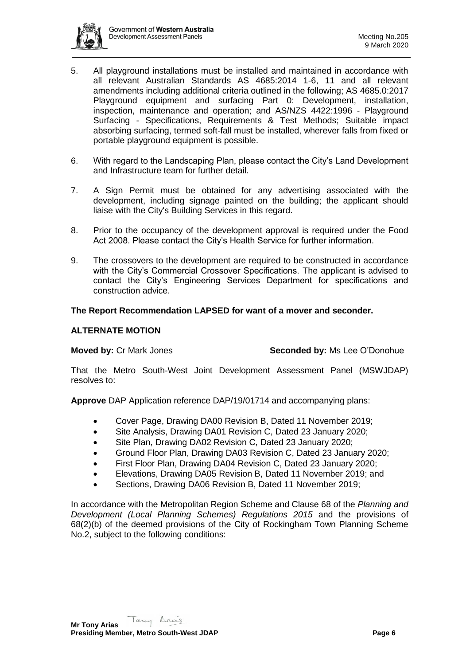

- 5. All playground installations must be installed and maintained in accordance with all relevant Australian Standards AS 4685:2014 1-6, 11 and all relevant amendments including additional criteria outlined in the following; AS 4685.0:2017 Playground equipment and surfacing Part 0: Development, installation, inspection, maintenance and operation; and AS/NZS 4422:1996 - Playground Surfacing - Specifications, Requirements & Test Methods; Suitable impact absorbing surfacing, termed soft-fall must be installed, wherever falls from fixed or portable playground equipment is possible.
- 6. With regard to the Landscaping Plan, please contact the City's Land Development and Infrastructure team for further detail.
- 7. A Sign Permit must be obtained for any advertising associated with the development, including signage painted on the building; the applicant should liaise with the City's Building Services in this regard.
- 8. Prior to the occupancy of the development approval is required under the Food Act 2008. Please contact the City's Health Service for further information.
- 9. The crossovers to the development are required to be constructed in accordance with the City's Commercial Crossover Specifications. The applicant is advised to contact the City's Engineering Services Department for specifications and construction advice.

## **The Report Recommendation LAPSED for want of a mover and seconder.**

## **ALTERNATE MOTION**

**Moved by:** Cr Mark Jones **Seconded by:** Ms Lee O'Donohue

That the Metro South-West Joint Development Assessment Panel (MSWJDAP) resolves to:

**Approve** DAP Application reference DAP/19/01714 and accompanying plans:

- Cover Page, Drawing DA00 Revision B, Dated 11 November 2019;
- Site Analysis, Drawing DA01 Revision C, Dated 23 January 2020;
- Site Plan, Drawing DA02 Revision C, Dated 23 January 2020;
- Ground Floor Plan, Drawing DA03 Revision C, Dated 23 January 2020;
- First Floor Plan, Drawing DA04 Revision C, Dated 23 January 2020;
- Elevations, Drawing DA05 Revision B, Dated 11 November 2019; and
- Sections, Drawing DA06 Revision B, Dated 11 November 2019;

In accordance with the Metropolitan Region Scheme and Clause 68 of the *Planning and Development (Local Planning Schemes) Regulations 2015* and the provisions of 68(2)(b) of the deemed provisions of the City of Rockingham Town Planning Scheme No.2, subject to the following conditions: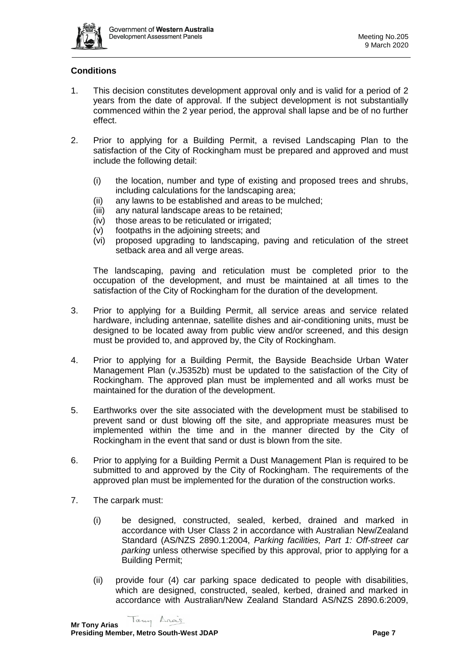

## **Conditions**

- 1. This decision constitutes development approval only and is valid for a period of 2 years from the date of approval. If the subject development is not substantially commenced within the 2 year period, the approval shall lapse and be of no further effect.
- 2. Prior to applying for a Building Permit, a revised Landscaping Plan to the satisfaction of the City of Rockingham must be prepared and approved and must include the following detail:
	- (i) the location, number and type of existing and proposed trees and shrubs, including calculations for the landscaping area;
	- (ii) any lawns to be established and areas to be mulched;
	- (iii) any natural landscape areas to be retained;
	- (iv) those areas to be reticulated or irrigated;
	- (v) footpaths in the adjoining streets; and
	- (vi) proposed upgrading to landscaping, paving and reticulation of the street setback area and all verge areas.

The landscaping, paving and reticulation must be completed prior to the occupation of the development, and must be maintained at all times to the satisfaction of the City of Rockingham for the duration of the development.

- 3. Prior to applying for a Building Permit, all service areas and service related hardware, including antennae, satellite dishes and air-conditioning units, must be designed to be located away from public view and/or screened, and this design must be provided to, and approved by, the City of Rockingham.
- 4. Prior to applying for a Building Permit, the Bayside Beachside Urban Water Management Plan (v.J5352b) must be updated to the satisfaction of the City of Rockingham. The approved plan must be implemented and all works must be maintained for the duration of the development.
- 5. Earthworks over the site associated with the development must be stabilised to prevent sand or dust blowing off the site, and appropriate measures must be implemented within the time and in the manner directed by the City of Rockingham in the event that sand or dust is blown from the site.
- 6. Prior to applying for a Building Permit a Dust Management Plan is required to be submitted to and approved by the City of Rockingham. The requirements of the approved plan must be implemented for the duration of the construction works.
- 7. The carpark must:
	- (i) be designed, constructed, sealed, kerbed, drained and marked in accordance with User Class 2 in accordance with Australian New/Zealand Standard (AS/NZS 2890.1:2004, *Parking facilities, Part 1: Off-street car parking* unless otherwise specified by this approval, prior to applying for a Building Permit;
	- (ii) provide four (4) car parking space dedicated to people with disabilities, which are designed, constructed, sealed, kerbed, drained and marked in accordance with Australian/New Zealand Standard AS/NZS 2890.6:2009,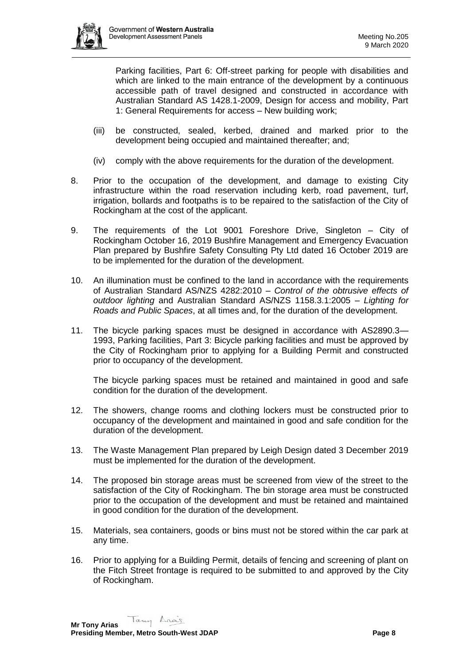

Parking facilities, Part 6: Off-street parking for people with disabilities and which are linked to the main entrance of the development by a continuous accessible path of travel designed and constructed in accordance with Australian Standard AS 1428.1-2009, Design for access and mobility, Part 1: General Requirements for access – New building work;

- (iii) be constructed, sealed, kerbed, drained and marked prior to the development being occupied and maintained thereafter; and;
- (iv) comply with the above requirements for the duration of the development.
- 8. Prior to the occupation of the development, and damage to existing City infrastructure within the road reservation including kerb, road pavement, turf, irrigation, bollards and footpaths is to be repaired to the satisfaction of the City of Rockingham at the cost of the applicant.
- 9. The requirements of the Lot 9001 Foreshore Drive, Singleton City of Rockingham October 16, 2019 Bushfire Management and Emergency Evacuation Plan prepared by Bushfire Safety Consulting Pty Ltd dated 16 October 2019 are to be implemented for the duration of the development.
- 10. An illumination must be confined to the land in accordance with the requirements of Australian Standard AS/NZS 4282:2010 – *Control of the obtrusive effects of outdoor lighting* and Australian Standard AS/NZS 1158.3.1:2005 – *Lighting for Roads and Public Spaces*, at all times and, for the duration of the development.
- 11. The bicycle parking spaces must be designed in accordance with AS2890.3— 1993, Parking facilities, Part 3: Bicycle parking facilities and must be approved by the City of Rockingham prior to applying for a Building Permit and constructed prior to occupancy of the development.

The bicycle parking spaces must be retained and maintained in good and safe condition for the duration of the development.

- 12. The showers, change rooms and clothing lockers must be constructed prior to occupancy of the development and maintained in good and safe condition for the duration of the development.
- 13. The Waste Management Plan prepared by Leigh Design dated 3 December 2019 must be implemented for the duration of the development.
- 14. The proposed bin storage areas must be screened from view of the street to the satisfaction of the City of Rockingham. The bin storage area must be constructed prior to the occupation of the development and must be retained and maintained in good condition for the duration of the development.
- 15. Materials, sea containers, goods or bins must not be stored within the car park at any time.
- 16. Prior to applying for a Building Permit, details of fencing and screening of plant on the Fitch Street frontage is required to be submitted to and approved by the City of Rockingham.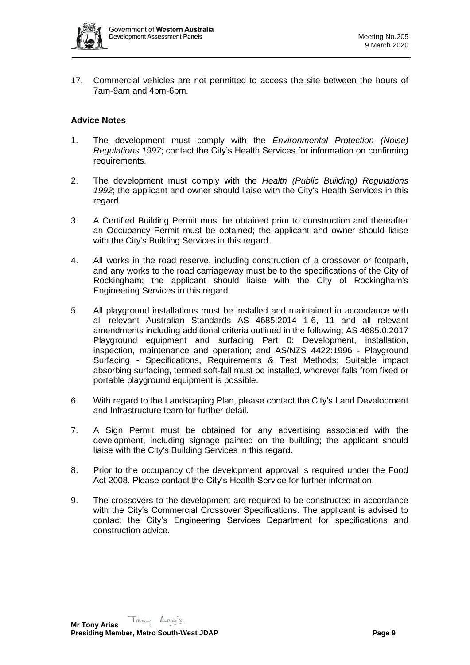

17. Commercial vehicles are not permitted to access the site between the hours of 7am-9am and 4pm-6pm.

## **Advice Notes**

- 1. The development must comply with the *Environmental Protection (Noise) Regulations 1997*; contact the City's Health Services for information on confirming requirements.
- 2. The development must comply with the *Health (Public Building) Regulations 1992*; the applicant and owner should liaise with the City's Health Services in this regard.
- 3. A Certified Building Permit must be obtained prior to construction and thereafter an Occupancy Permit must be obtained; the applicant and owner should liaise with the City's Building Services in this regard.
- 4. All works in the road reserve, including construction of a crossover or footpath, and any works to the road carriageway must be to the specifications of the City of Rockingham; the applicant should liaise with the City of Rockingham's Engineering Services in this regard.
- 5. All playground installations must be installed and maintained in accordance with all relevant Australian Standards AS 4685:2014 1-6, 11 and all relevant amendments including additional criteria outlined in the following; AS 4685.0:2017 Playground equipment and surfacing Part 0: Development, installation, inspection, maintenance and operation; and AS/NZS 4422:1996 - Playground Surfacing - Specifications, Requirements & Test Methods; Suitable impact absorbing surfacing, termed soft-fall must be installed, wherever falls from fixed or portable playground equipment is possible.
- 6. With regard to the Landscaping Plan, please contact the City's Land Development and Infrastructure team for further detail.
- 7. A Sign Permit must be obtained for any advertising associated with the development, including signage painted on the building; the applicant should liaise with the City's Building Services in this regard.
- 8. Prior to the occupancy of the development approval is required under the Food Act 2008. Please contact the City's Health Service for further information.
- 9. The crossovers to the development are required to be constructed in accordance with the City's Commercial Crossover Specifications. The applicant is advised to contact the City's Engineering Services Department for specifications and construction advice.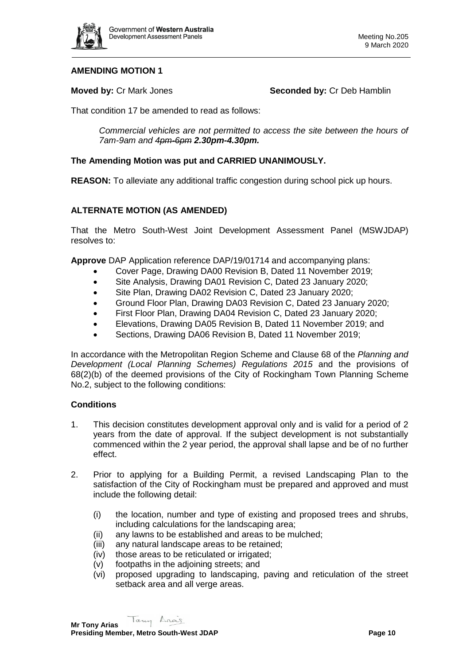

## **AMENDING MOTION 1**

**Moved by: Cr Mark Jones <b>Seconded by: Cr Deb Hamblin** 

That condition 17 be amended to read as follows:

*Commercial vehicles are not permitted to access the site between the hours of 7am-9am and 4pm-6pm 2.30pm-4.30pm.*

## **The Amending Motion was put and CARRIED UNANIMOUSLY.**

**REASON:** To alleviate any additional traffic congestion during school pick up hours.

## **ALTERNATE MOTION (AS AMENDED)**

That the Metro South-West Joint Development Assessment Panel (MSWJDAP) resolves to:

**Approve** DAP Application reference DAP/19/01714 and accompanying plans:

- Cover Page, Drawing DA00 Revision B, Dated 11 November 2019;
- Site Analysis, Drawing DA01 Revision C, Dated 23 January 2020;
- Site Plan, Drawing DA02 Revision C, Dated 23 January 2020;
- Ground Floor Plan, Drawing DA03 Revision C, Dated 23 January 2020;
- First Floor Plan, Drawing DA04 Revision C, Dated 23 January 2020;
- Elevations, Drawing DA05 Revision B, Dated 11 November 2019; and
- Sections, Drawing DA06 Revision B, Dated 11 November 2019;

In accordance with the Metropolitan Region Scheme and Clause 68 of the *Planning and Development (Local Planning Schemes) Regulations 2015* and the provisions of 68(2)(b) of the deemed provisions of the City of Rockingham Town Planning Scheme No.2, subject to the following conditions:

#### **Conditions**

- 1. This decision constitutes development approval only and is valid for a period of 2 years from the date of approval. If the subject development is not substantially commenced within the 2 year period, the approval shall lapse and be of no further effect.
- 2. Prior to applying for a Building Permit, a revised Landscaping Plan to the satisfaction of the City of Rockingham must be prepared and approved and must include the following detail:
	- (i) the location, number and type of existing and proposed trees and shrubs, including calculations for the landscaping area;
	- (ii) any lawns to be established and areas to be mulched;
	- (iii) any natural landscape areas to be retained;
	- (iv) those areas to be reticulated or irrigated;
	- (v) footpaths in the adjoining streets; and
	- (vi) proposed upgrading to landscaping, paving and reticulation of the street setback area and all verge areas.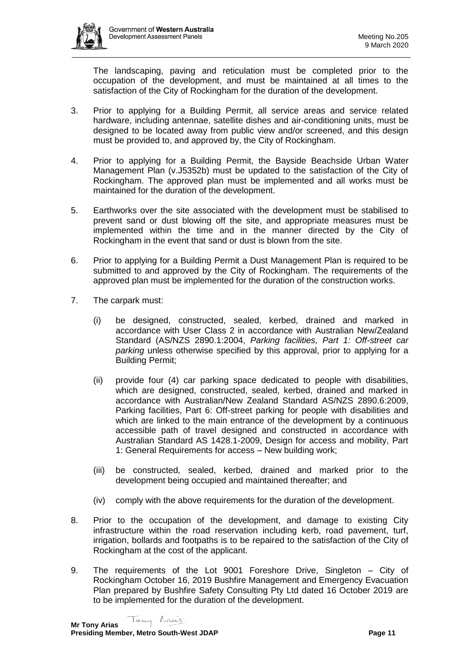

The landscaping, paving and reticulation must be completed prior to the occupation of the development, and must be maintained at all times to the satisfaction of the City of Rockingham for the duration of the development.

- 3. Prior to applying for a Building Permit, all service areas and service related hardware, including antennae, satellite dishes and air-conditioning units, must be designed to be located away from public view and/or screened, and this design must be provided to, and approved by, the City of Rockingham.
- 4. Prior to applying for a Building Permit, the Bayside Beachside Urban Water Management Plan (v.J5352b) must be updated to the satisfaction of the City of Rockingham. The approved plan must be implemented and all works must be maintained for the duration of the development.
- 5. Earthworks over the site associated with the development must be stabilised to prevent sand or dust blowing off the site, and appropriate measures must be implemented within the time and in the manner directed by the City of Rockingham in the event that sand or dust is blown from the site.
- 6. Prior to applying for a Building Permit a Dust Management Plan is required to be submitted to and approved by the City of Rockingham. The requirements of the approved plan must be implemented for the duration of the construction works.
- 7. The carpark must:
	- (i) be designed, constructed, sealed, kerbed, drained and marked in accordance with User Class 2 in accordance with Australian New/Zealand Standard (AS/NZS 2890.1:2004, *Parking facilities, Part 1: Off-street car parking* unless otherwise specified by this approval, prior to applying for a Building Permit;
	- (ii) provide four (4) car parking space dedicated to people with disabilities, which are designed, constructed, sealed, kerbed, drained and marked in accordance with Australian/New Zealand Standard AS/NZS 2890.6:2009, Parking facilities, Part 6: Off-street parking for people with disabilities and which are linked to the main entrance of the development by a continuous accessible path of travel designed and constructed in accordance with Australian Standard AS 1428.1-2009, Design for access and mobility, Part 1: General Requirements for access – New building work;
	- (iii) be constructed, sealed, kerbed, drained and marked prior to the development being occupied and maintained thereafter; and
	- (iv) comply with the above requirements for the duration of the development.
- 8. Prior to the occupation of the development, and damage to existing City infrastructure within the road reservation including kerb, road pavement, turf, irrigation, bollards and footpaths is to be repaired to the satisfaction of the City of Rockingham at the cost of the applicant.
- 9. The requirements of the Lot 9001 Foreshore Drive, Singleton City of Rockingham October 16, 2019 Bushfire Management and Emergency Evacuation Plan prepared by Bushfire Safety Consulting Pty Ltd dated 16 October 2019 are to be implemented for the duration of the development.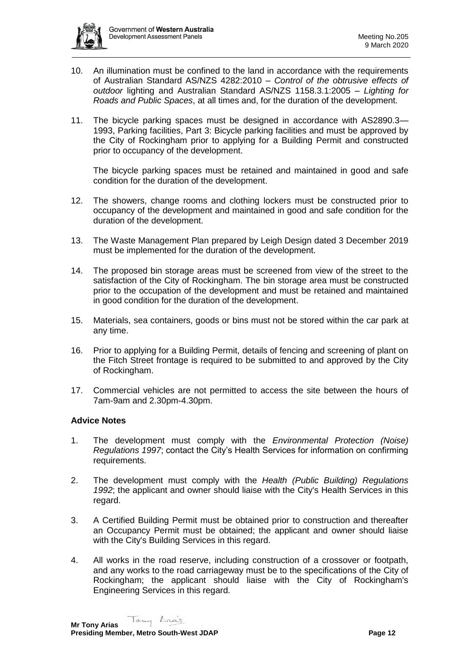

- 10. An illumination must be confined to the land in accordance with the requirements of Australian Standard AS/NZS 4282:2010 – *Control of the obtrusive effects of outdoor* lighting and Australian Standard AS/NZS 1158.3.1:2005 – *Lighting for Roads and Public Spaces*, at all times and, for the duration of the development.
- 11. The bicycle parking spaces must be designed in accordance with AS2890.3— 1993, Parking facilities, Part 3: Bicycle parking facilities and must be approved by the City of Rockingham prior to applying for a Building Permit and constructed prior to occupancy of the development.

The bicycle parking spaces must be retained and maintained in good and safe condition for the duration of the development.

- 12. The showers, change rooms and clothing lockers must be constructed prior to occupancy of the development and maintained in good and safe condition for the duration of the development.
- 13. The Waste Management Plan prepared by Leigh Design dated 3 December 2019 must be implemented for the duration of the development.
- 14. The proposed bin storage areas must be screened from view of the street to the satisfaction of the City of Rockingham. The bin storage area must be constructed prior to the occupation of the development and must be retained and maintained in good condition for the duration of the development.
- 15. Materials, sea containers, goods or bins must not be stored within the car park at any time.
- 16. Prior to applying for a Building Permit, details of fencing and screening of plant on the Fitch Street frontage is required to be submitted to and approved by the City of Rockingham.
- 17. Commercial vehicles are not permitted to access the site between the hours of 7am-9am and 2.30pm-4.30pm.

## **Advice Notes**

- 1. The development must comply with the *Environmental Protection (Noise) Regulations 1997*; contact the City's Health Services for information on confirming requirements.
- 2. The development must comply with the *Health (Public Building) Regulations 1992*; the applicant and owner should liaise with the City's Health Services in this regard.
- 3. A Certified Building Permit must be obtained prior to construction and thereafter an Occupancy Permit must be obtained; the applicant and owner should liaise with the City's Building Services in this regard.
- 4. All works in the road reserve, including construction of a crossover or footpath, and any works to the road carriageway must be to the specifications of the City of Rockingham; the applicant should liaise with the City of Rockingham's Engineering Services in this regard.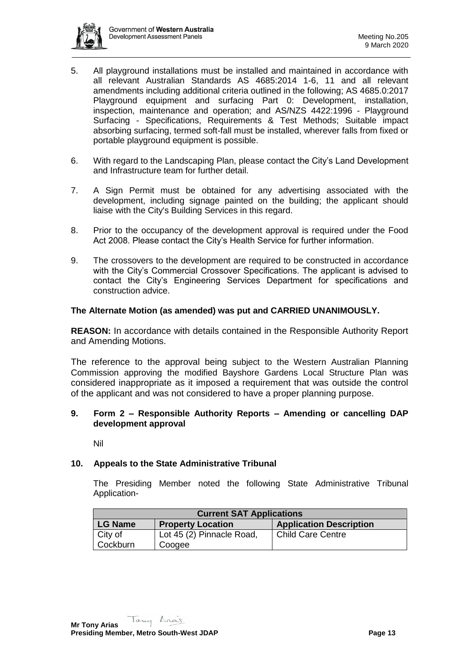

- 5. All playground installations must be installed and maintained in accordance with all relevant Australian Standards AS 4685:2014 1-6, 11 and all relevant amendments including additional criteria outlined in the following; AS 4685.0:2017 Playground equipment and surfacing Part 0: Development, installation, inspection, maintenance and operation; and AS/NZS 4422:1996 - Playground Surfacing - Specifications, Requirements & Test Methods; Suitable impact absorbing surfacing, termed soft-fall must be installed, wherever falls from fixed or portable playground equipment is possible.
- 6. With regard to the Landscaping Plan, please contact the City's Land Development and Infrastructure team for further detail.
- 7. A Sign Permit must be obtained for any advertising associated with the development, including signage painted on the building; the applicant should liaise with the City's Building Services in this regard.
- 8. Prior to the occupancy of the development approval is required under the Food Act 2008. Please contact the City's Health Service for further information.
- 9. The crossovers to the development are required to be constructed in accordance with the City's Commercial Crossover Specifications. The applicant is advised to contact the City's Engineering Services Department for specifications and construction advice.

### **The Alternate Motion (as amended) was put and CARRIED UNANIMOUSLY.**

**REASON:** In accordance with details contained in the Responsible Authority Report and Amending Motions.

The reference to the approval being subject to the Western Australian Planning Commission approving the modified Bayshore Gardens Local Structure Plan was considered inappropriate as it imposed a requirement that was outside the control of the applicant and was not considered to have a proper planning purpose.

### **9. Form 2 – Responsible Authority Reports – Amending or cancelling DAP development approval**

Nil

## **10. Appeals to the State Administrative Tribunal**

The Presiding Member noted the following State Administrative Tribunal Application-

| <b>Current SAT Applications</b> |                           |                                |  |  |
|---------------------------------|---------------------------|--------------------------------|--|--|
| <b>LG Name</b>                  | <b>Property Location</b>  | <b>Application Description</b> |  |  |
| City of                         | Lot 45 (2) Pinnacle Road, | <b>Child Care Centre</b>       |  |  |
| Cockburn                        | Coogee                    |                                |  |  |